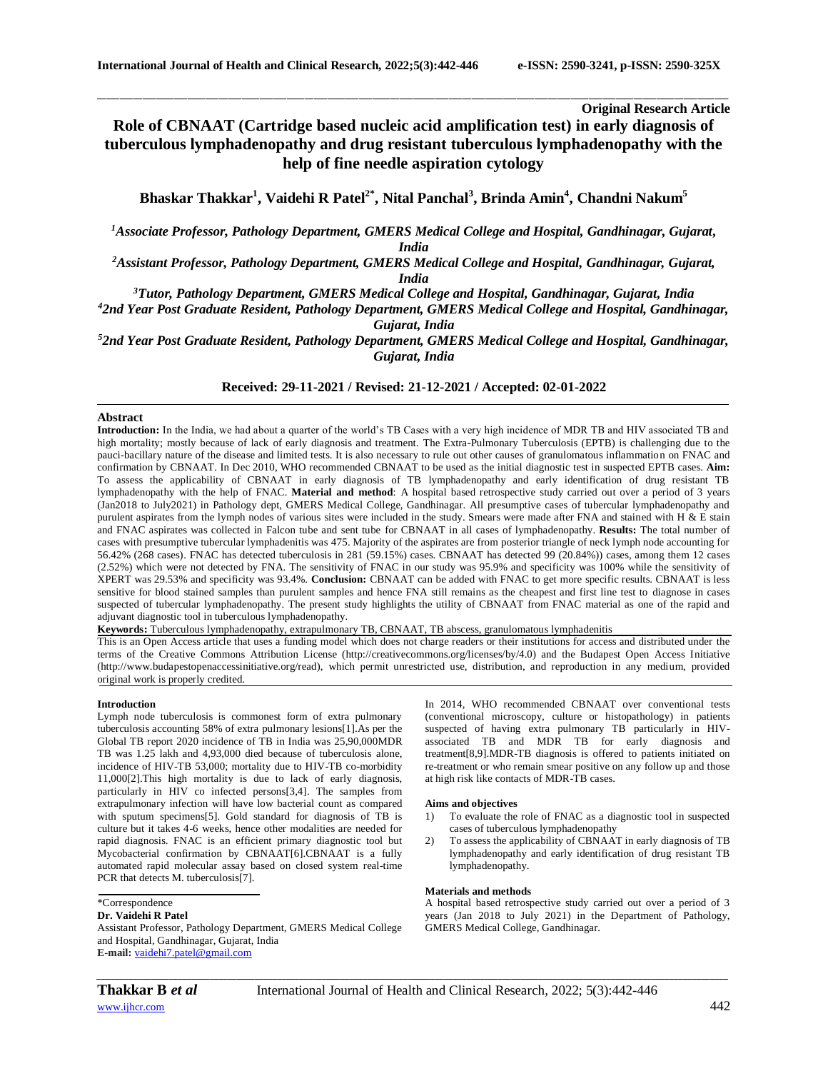# **Original Research Article**

# **Role of CBNAAT (Cartridge based nucleic acid amplification test) in early diagnosis of tuberculous lymphadenopathy and drug resistant tuberculous lymphadenopathy with the help of fine needle aspiration cytology**

\_\_\_\_\_\_\_\_\_\_\_\_\_\_\_\_\_\_\_\_\_\_\_\_\_\_\_\_\_\_\_\_\_\_\_\_\_\_\_\_\_\_\_\_\_\_\_\_\_\_\_\_\_\_\_\_\_\_\_\_\_\_\_\_\_\_\_\_\_\_\_\_\_\_\_\_\_\_\_\_\_\_\_\_\_\_\_\_\_\_\_\_\_\_\_\_\_\_\_\_\_\_\_\_\_\_\_\_\_\_\_\_\_\_\_\_\_\_\_\_\_\_\_\_\_\_\_\_\_\_\_\_\_\_\_\_\_\_\_\_

**Bhaskar Thakkar<sup>1</sup> , Vaidehi R Patel2\* , Nital Panchal<sup>3</sup> , Brinda Amin<sup>4</sup> , Chandni Nakum<sup>5</sup>**

*<sup>1</sup>Associate Professor, Pathology Department, GMERS Medical College and Hospital, Gandhinagar, Gujarat, India*

*<sup>2</sup>Assistant Professor, Pathology Department, GMERS Medical College and Hospital, Gandhinagar, Gujarat,* 

*India*

*<sup>3</sup>Tutor, Pathology Department, GMERS Medical College and Hospital, Gandhinagar, Gujarat, India*

*<sup>4</sup>2nd Year Post Graduate Resident, Pathology Department, GMERS Medical College and Hospital, Gandhinagar, Gujarat, India*

*<sup>5</sup>2nd Year Post Graduate Resident, Pathology Department, GMERS Medical College and Hospital, Gandhinagar, Gujarat, India*

**Received: 29-11-2021 / Revised: 21-12-2021 / Accepted: 02-01-2022**

## **Abstract**

**Introduction:** In the India, we had about a quarter of the world's TB Cases with a very high incidence of MDR TB and HIV associated TB and high mortality; mostly because of lack of early diagnosis and treatment. The Extra-Pulmonary Tuberculosis (EPTB) is challenging due to the pauci-bacillary nature of the disease and limited tests. It is also necessary to rule out other causes of granulomatous inflammation on FNAC and confirmation by CBNAAT. In Dec 2010, WHO recommended CBNAAT to be used as the initial diagnostic test in suspected EPTB cases. **Aim:** To assess the applicability of CBNAAT in early diagnosis of TB lymphadenopathy and early identification of drug resistant TB lymphadenopathy with the help of FNAC. **Material and method**: A hospital based retrospective study carried out over a period of 3 years (Jan2018 to July2021) in Pathology dept, GMERS Medical College, Gandhinagar. All presumptive cases of tubercular lymphadenopathy and purulent aspirates from the lymph nodes of various sites were included in the study. Smears were made after FNA and stained with H & E stain and FNAC aspirates was collected in Falcon tube and sent tube for CBNAAT in all cases of lymphadenopathy. **Results:** The total number of cases with presumptive tubercular lymphadenitis was 475. Majority of the aspirates are from posterior triangle of neck lymph node accounting for 56.42% (268 cases). FNAC has detected tuberculosis in 281 (59.15%) cases. CBNAAT has detected 99 (20.84%)) cases, among them 12 cases (2.52%) which were not detected by FNA. The sensitivity of FNAC in our study was 95.9% and specificity was 100% while the sensitivity of XPERT was 29.53% and specificity was 93.4%. **Conclusion:** CBNAAT can be added with FNAC to get more specific results. CBNAAT is less sensitive for blood stained samples than purulent samples and hence FNA still remains as the cheapest and first line test to diagnose in cases suspected of tubercular lymphadenopathy. The present study highlights the utility of CBNAAT from FNAC material as one of the rapid and adjuvant diagnostic tool in tuberculous lymphadenopathy.

**Keywords:** Tuberculous lymphadenopathy, extrapulmonary TB, CBNAAT, TB abscess, granulomatous lymphadenitis

This is an Open Access article that uses a funding model which does not charge readers or their institutions for access and distributed under the terms of the Creative Commons Attribution License (http://creativecommons.org/licenses/by/4.0) and the Budapest Open Access Initiative (http://www.budapestopenaccessinitiative.org/read), which permit unrestricted use, distribution, and reproduction in any medium, provided original work is properly credited.

# **Introduction**

Lymph node tuberculosis is commonest form of extra pulmonary tuberculosis accounting 58% of extra pulmonary lesions[1].As per the Global TB report 2020 incidence of TB in India was 25,90,000MDR TB was 1.25 lakh and 4,93,000 died because of tuberculosis alone, incidence of HIV-TB 53,000; mortality due to HIV-TB co-morbidity 11,000[2].This high mortality is due to lack of early diagnosis, particularly in HIV co infected persons[3,4]. The samples from extrapulmonary infection will have low bacterial count as compared with sputum specimens[5]. Gold standard for diagnosis of TB is culture but it takes 4-6 weeks, hence other modalities are needed for rapid diagnosis. FNAC is an efficient primary diagnostic tool but Mycobacterial confirmation by CBNAAT[6].CBNAAT is a fully automated rapid molecular assay based on closed system real-time PCR that detects M. tuberculosis[7].

#### \*Correspondence **Dr. Vaidehi R Patel**

Assistant Professor, Pathology Department, GMERS Medical College and Hospital, Gandhinagar, Gujarat, India **E-mail:** [vaidehi7.patel@gmail.com](mailto:vaidehi7.patel@gmail.com)

In 2014, WHO recommended CBNAAT over conventional tests (conventional microscopy, culture or histopathology) in patients suspected of having extra pulmonary TB particularly in HIVassociated TB and MDR TB for early diagnosis and treatment[8,9].MDR-TB diagnosis is offered to patients initiated on re-treatment or who remain smear positive on any follow up and those at high risk like contacts of MDR-TB cases.

#### **Aims and objectives**

- 1) To evaluate the role of FNAC as a diagnostic tool in suspected cases of tuberculous lymphadenopathy
- 2) To assess the applicability of CBNAAT in early diagnosis of TB lymphadenopathy and early identification of drug resistant TB lymphadenopathy.

#### **Materials and methods**

A hospital based retrospective study carried out over a period of 3 years (Jan 2018 to July 2021) in the Department of Pathology, GMERS Medical College, Gandhinagar.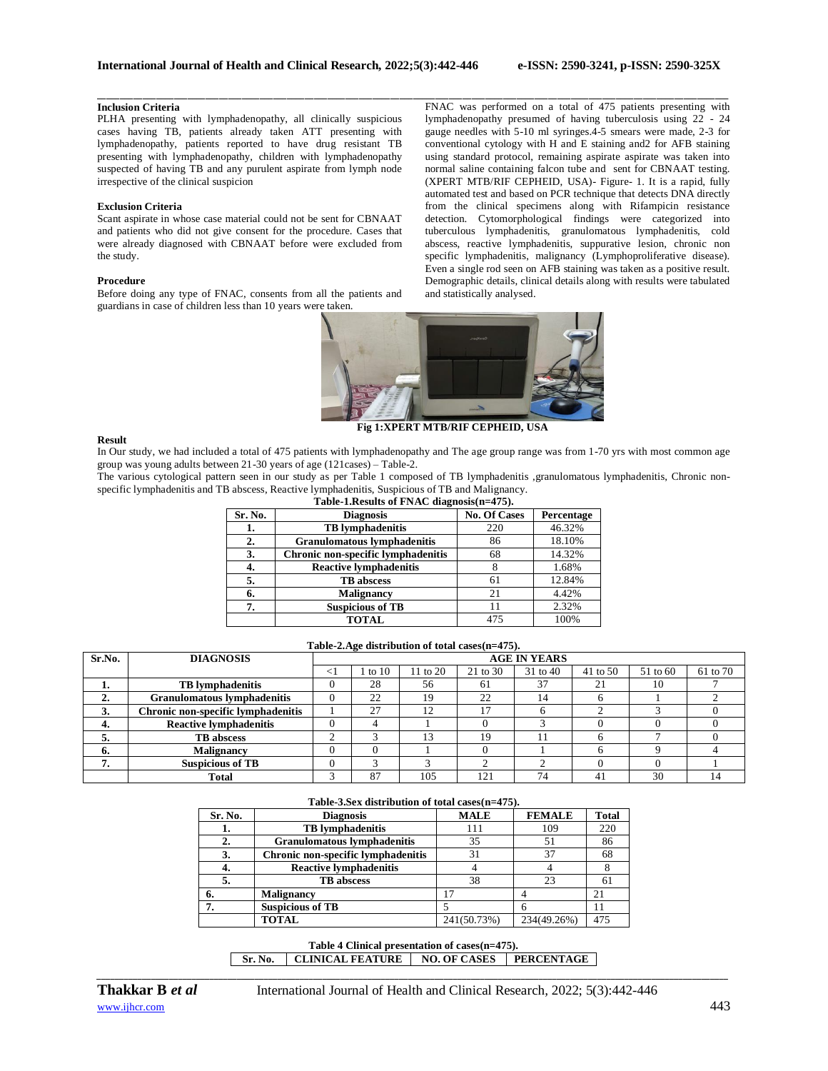# **Inclusion Criteria**

PLHA presenting with lymphadenopathy, all clinically suspicious cases having TB, patients already taken ATT presenting with lymphadenopathy, patients reported to have drug resistant TB presenting with lymphadenopathy, children with lymphadenopathy suspected of having TB and any purulent aspirate from lymph node irrespective of the clinical suspicion

### **Exclusion Criteria**

Scant aspirate in whose case material could not be sent for CBNAAT and patients who did not give consent for the procedure. Cases that were already diagnosed with CBNAAT before were excluded from the study.

#### **Procedure**

Before doing any type of FNAC, consents from all the patients and guardians in case of children less than 10 years were taken.

\_\_\_\_\_\_\_\_\_\_\_\_\_\_\_\_\_\_\_\_\_\_\_\_\_\_\_\_\_\_\_\_\_\_\_\_\_\_\_\_\_\_\_\_\_\_\_\_\_\_\_\_\_\_\_\_\_\_\_\_\_\_\_\_\_\_\_\_\_\_\_\_\_\_\_\_\_\_\_\_\_\_\_\_\_\_\_\_\_\_\_\_\_\_\_\_\_\_\_\_\_\_\_\_\_\_\_\_\_\_\_\_\_\_\_\_\_\_\_\_\_\_\_\_\_\_\_\_\_\_\_\_\_\_\_\_\_\_\_\_ FNAC was performed on a total of 475 patients presenting with lymphadenopathy presumed of having tuberculosis using 22 - 24 gauge needles with 5-10 ml syringes.4-5 smears were made, 2-3 for conventional cytology with H and E staining and2 for AFB staining using standard protocol, remaining aspirate aspirate was taken into normal saline containing falcon tube and sent for CBNAAT testing. (XPERT MTB/RIF CEPHEID, USA)- Figure- 1. It is a rapid, fully automated test and based on PCR technique that detects DNA directly from the clinical specimens along with Rifampicin resistance detection. Cytomorphological findings were categorized into tuberculous lymphadenitis, granulomatous lymphadenitis, cold abscess, reactive lymphadenitis, suppurative lesion, chronic non specific lymphadenitis, malignancy (Lymphoproliferative disease). Even a single rod seen on AFB staining was taken as a positive result. Demographic details, clinical details along with results were tabulated and statistically analysed.



 **Fig 1:XPERT MTB/RIF CEPHEID, USA** 

#### **Result**

In Our study, we had included a total of 475 patients with lymphadenopathy and The age group range was from 1-70 yrs with most common age group was young adults between 21-30 years of age (121cases) – Table-2.

The various cytological pattern seen in our study as per Table 1 composed of TB lymphadenitis ,granulomatous lymphadenitis, Chronic nonspecific lymphadenitis and TB abscess, Reactive lymphadenitis, Suspicious of TB and Malignancy. **Table-1.Results of FNAC diagnosis(n=475).**

| rapic-racesums of Five unaghosis $n = +75$ . |                                    |                     |            |  |  |  |  |
|----------------------------------------------|------------------------------------|---------------------|------------|--|--|--|--|
| Sr. No.                                      | <b>Diagnosis</b>                   | <b>No. Of Cases</b> | Percentage |  |  |  |  |
| 1.                                           | <b>TB</b> lymphadenitis            | 220                 | 46.32%     |  |  |  |  |
| 2.                                           | <b>Granulomatous lymphadenitis</b> | 86                  | 18.10%     |  |  |  |  |
| 3.                                           | Chronic non-specific lymphadenitis | 68                  | 14.32%     |  |  |  |  |
| 4.                                           | <b>Reactive lymphadenitis</b>      |                     | 1.68%      |  |  |  |  |
| 5.                                           | <b>TB</b> abscess                  | 61                  | 12.84%     |  |  |  |  |
| 6.                                           | <b>Malignancy</b>                  | 21                  | 4.42%      |  |  |  |  |
| 7.                                           | <b>Suspicious of TB</b>            | 11                  | 2.32%      |  |  |  |  |
|                                              | <b>TOTAL</b>                       | 475                 | 100%       |  |  |  |  |

**Table-2.Age distribution of total cases(n=475). Sr.No. DIAGNOSIS AGE IN YEARS**  $\langle 1 \mid 1$  to 10 | 11 to 20 | 21 to 30 | 31 to 40 | 41 to 50 | 51 to 60 | 61 to 70 **1. TB lymphadenitis** 0 28 56 61 37 21 10 7 **2. Granulomatous lymphadenitis** 0 22 19 22 14 6 1 2 **3. Chronic non-specific lymphadenitis**  $\begin{array}{ccc|c} 1 & 27 & 12 & 17 & 6 & 2 & 3 & 0 \end{array}$ **4. Reactive lymphadenitis** 0 4 1 0 3 0 0 0 0 0<br> **5. R** B abscess 2 3 13 19 11 6 7 0 **5. TB abscess** 2 3 13 19 11 6 7 0 **6. Malignancy 1** 0 0 0 1 1 1 1 1 1 1 6 1 9 1 4 **7. Suspicious of TB** 0 3 3 2 2 0 0 1<br> **1 Total** 3 87 105 121 74 41 30 1 **Total** 1 3 87 105 121 74 41 30 14

#### **Table-3.Sex distribution of total cases(n=475).**

| A WAS AV TAS VID VAN VAN DE VAN DE VOOR VAN VAN VESTALIGE EEN DE ST |                                    |             |               |              |  |  |  |
|---------------------------------------------------------------------|------------------------------------|-------------|---------------|--------------|--|--|--|
| Sr. No.                                                             | <b>Diagnosis</b>                   | <b>MALE</b> | <b>FEMALE</b> | <b>Total</b> |  |  |  |
| . .                                                                 | <b>TB</b> lymphadenitis            | 111         | 109           | 220          |  |  |  |
|                                                                     | <b>Granulomatous lymphadenitis</b> | 35          | 51            | 86           |  |  |  |
| 3.                                                                  | Chronic non-specific lymphadenitis | 31          | 37            | 68           |  |  |  |
| 4.                                                                  | <b>Reactive lymphadenitis</b>      |             |               |              |  |  |  |
| 5.                                                                  | <b>TB</b> abscess                  | 38          | 23            | 61           |  |  |  |
| 6.                                                                  | <b>Malignancy</b>                  |             |               |              |  |  |  |
| 7.                                                                  | <b>Suspicious of TB</b>            |             |               |              |  |  |  |
|                                                                     | <b>TOTAL</b>                       | 241(50.73%) | 234(49.26%)   | 475          |  |  |  |

# **Table 4 Clinical presentation of cases(n=475).**

*\_\_\_\_\_\_\_\_\_\_\_\_\_\_\_\_\_\_\_\_\_\_\_\_\_\_\_\_\_\_\_\_\_\_\_\_\_\_\_\_\_\_\_\_\_\_\_\_\_\_\_\_\_\_\_\_\_\_\_\_\_\_\_\_\_\_\_\_\_\_\_\_\_\_\_\_\_\_\_\_\_\_\_\_\_\_\_\_\_\_\_\_\_\_\_\_\_\_\_\_\_\_\_\_\_\_\_\_\_\_\_\_\_\_\_\_\_\_\_\_\_\_\_\_\_\_\_\_\_\_\_\_\_\_\_\_\_\_\_\_*

**Sr. No. CLINICAL FEATURE NO. OF CASES PERCENTAGE**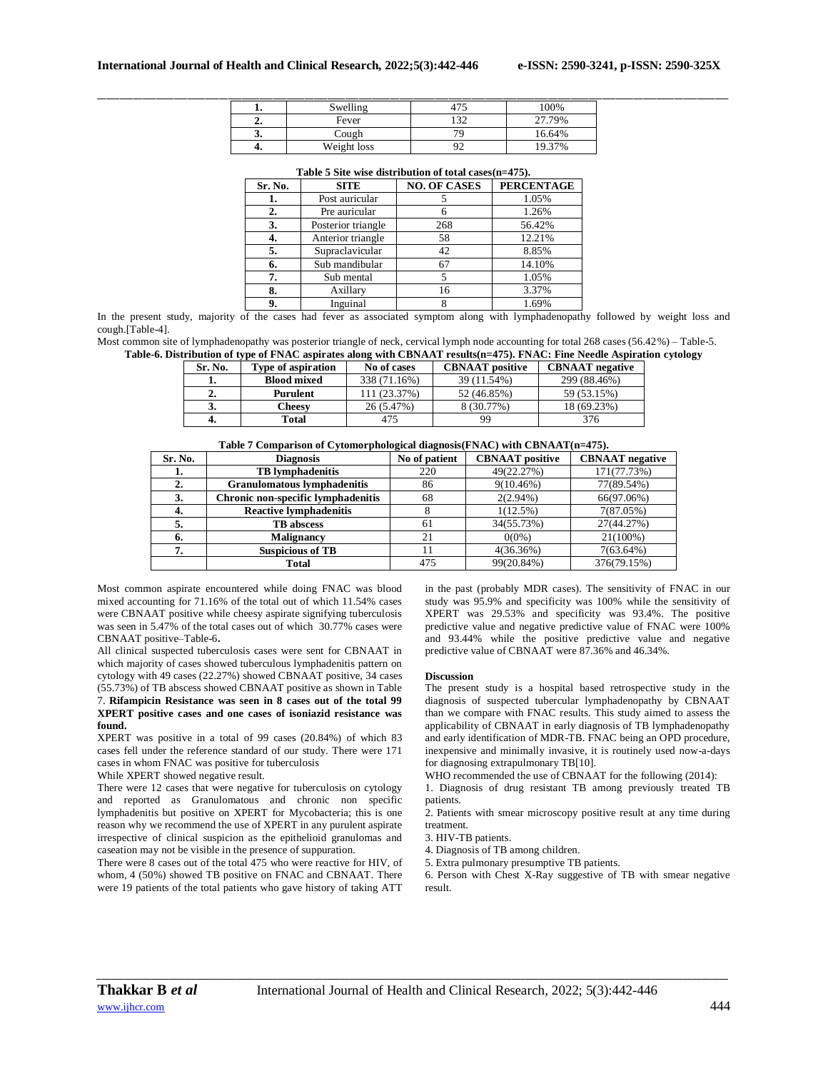|    | Swelling    | 47r<br>4/2    | 100%   |
|----|-------------|---------------|--------|
|    | Fever       | 122<br>1 J 4  | 27.79% |
| J. | Cough       | 70            | 16.64% |
|    | Weight loss | $\Omega$<br>╯ | 19.37% |

| Table 5 Site wise distribution of total cases $(n=475)$ . |  |  |  |
|-----------------------------------------------------------|--|--|--|
|                                                           |  |  |  |

| Sr. No. | <b>SITE</b>        | <b>NO. OF CASES</b> | <b>PERCENTAGE</b> |
|---------|--------------------|---------------------|-------------------|
|         | Post auricular     |                     | 1.05%             |
| 2.      | Pre auricular      |                     | 1.26%             |
| 3.      | Posterior triangle | 268                 | 56.42%            |
| 4.      | Anterior triangle  | 58                  | 12.21%            |
| 5.      | Supraclavicular    | 42                  | 8.85%             |
| 6.      | Sub mandibular     | 67                  | 14.10%            |
| 7.      | Sub mental         |                     | 1.05%             |
| 8.      | Axillary           | 16                  | 3.37%             |
| 9.      | Inguinal           |                     | 1.69%             |

In the present study, majority of the cases had fever as associated symptom along with lymphadenopathy followed by weight loss and cough.[Table-4].

Most common site of lymphadenopathy was posterior triangle of neck, cervical lymph node accounting for total 268 cases (56.42%) – Table-5. **Table-6. Distribution of type of FNAC aspirates along with CBNAAT results(n=475). FNAC: Fine Needle Aspiration cytology**

| Sr. No. | <b>Type of aspiration</b> | No of cases  | <b>CBNAAT</b> positive | <b>CBNAAT</b> negative |
|---------|---------------------------|--------------|------------------------|------------------------|
|         | <b>Blood mixed</b>        | 338 (71.16%) | 39 (11.54%)            | 299 (88.46%)           |
|         | Purulent                  | 11 (23.37%)  | 52 (46.85%)            | 59 (53.15%)            |
| J.      | Cheesv                    | 26 (5.47%)   | 8 (30.77%)             | 18 (69.23%)            |
|         | Total                     | 475          | 99                     | 376                    |

|  | Table 7 Comparison of Cytomorphological diagnosis (FNAC) with CBNAAT (n=475). |  |
|--|-------------------------------------------------------------------------------|--|
|  |                                                                               |  |

| Sr. No. | <b>Diagnosis</b>                   | No of patient | <b>CBNAAT</b> positive | <b>CBNAAT</b> negative |
|---------|------------------------------------|---------------|------------------------|------------------------|
| ı.      | <b>TB</b> lymphadenitis            | 220           | 49(22.27%)             | 171(77.73%)            |
|         | <b>Granulomatous lymphadenitis</b> | 86            | $9(10.46\%)$           | 77(89.54%)             |
| 3.      | Chronic non-specific lymphadenitis | 68            | $2(2.94\%)$            | 66(97.06%)             |
| 4.      | <b>Reactive lymphadenitis</b>      |               | 1(12.5%)               | 7(87.05%)              |
|         | <b>TB</b> abscess                  | 61            | 34(55.73%)             | 27(44.27%)             |
| n.      | <b>Malignancy</b>                  | 21            | $0(0\%)$               | 21(100%)               |
|         | <b>Suspicious of TB</b>            |               | 4(36.36%)              | $7(63.64\%)$           |
|         | Total                              | 475           | 99(20.84%)             | 376(79.15%)            |

Most common aspirate encountered while doing FNAC was blood mixed accounting for 71.16% of the total out of which 11.54% cases were CBNAAT positive while cheesy aspirate signifying tuberculosis was seen in 5.47% of the total cases out of which 30.77% cases were CBNAAT positive–Table-6**.** 

All clinical suspected tuberculosis cases were sent for CBNAAT in which majority of cases showed tuberculous lymphadenitis pattern on cytology with 49 cases (22.27%) showed CBNAAT positive, 34 cases (55.73%) of TB abscess showed CBNAAT positive as shown in Table

7. **Rifampicin Resistance was seen in 8 cases out of the total 99 XPERT positive cases and one cases of isoniazid resistance was found.**

XPERT was positive in a total of 99 cases (20.84%) of which 83 cases fell under the reference standard of our study. There were 171 cases in whom FNAC was positive for tuberculosis

While XPERT showed negative result.

There were 12 cases that were negative for tuberculosis on cytology and reported as Granulomatous and chronic non specific lymphadenitis but positive on XPERT for Mycobacteria; this is one reason why we recommend the use of XPERT in any purulent aspirate irrespective of clinical suspicion as the epithelioid granulomas and caseation may not be visible in the presence of suppuration.

There were 8 cases out of the total 475 who were reactive for HIV, of whom, 4 (50%) showed TB positive on FNAC and CBNAAT. There were 19 patients of the total patients who gave history of taking ATT in the past (probably MDR cases). The sensitivity of FNAC in our study was 95.9% and specificity was 100% while the sensitivity of XPERT was 29.53% and specificity was 93.4%. The positive predictive value and negative predictive value of FNAC were 100% and 93.44% while the positive predictive value and negative predictive value of CBNAAT were 87.36% and 46.34%.

#### **Discussion**

The present study is a hospital based retrospective study in the diagnosis of suspected tubercular lymphadenopathy by CBNAAT than we compare with FNAC results. This study aimed to assess the applicability of CBNAAT in early diagnosis of TB lymphadenopathy and early identification of MDR-TB. FNAC being an OPD procedure, inexpensive and minimally invasive, it is routinely used now-a-days for diagnosing extrapulmonary TB[10].

WHO recommended the use of CBNAAT for the following (2014):

1. Diagnosis of drug resistant TB among previously treated TB patients.

2. Patients with smear microscopy positive result at any time during treatment.

3. HIV-TB patients.

4. Diagnosis of TB among children.

5. Extra pulmonary presumptive TB patients.

6. Person with Chest X-Ray suggestive of TB with smear negative result.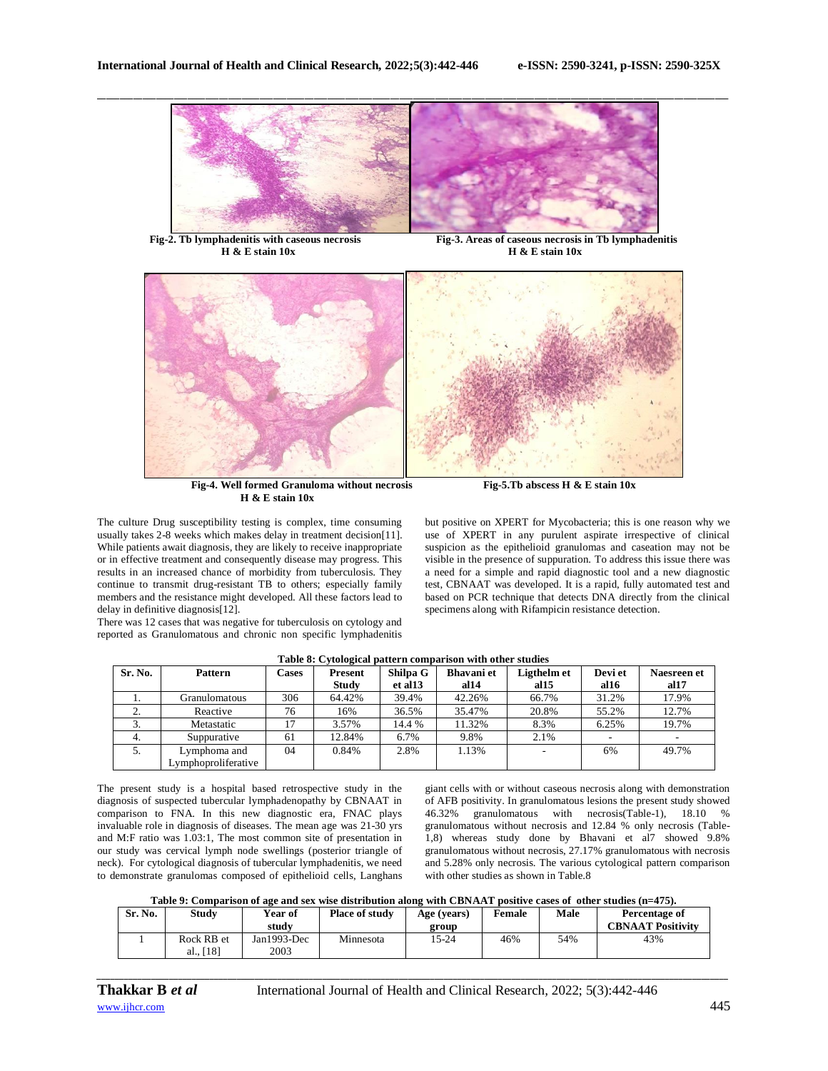

**Fig-2. Tb lymphadenitis with caseous necrosis Fig-3. Areas of caseous necrosis in Tb lymphadenitis H** & **E** stain 10x **H** & **E** stain 10x



**Fig-4. Well formed Granuloma without necrosis** Fig-5.Tb abscess H & E stain 10x  **H & E stain 10x**

The culture Drug susceptibility testing is complex, time consuming usually takes 2-8 weeks which makes delay in treatment decision[11]. While patients await diagnosis, they are likely to receive inappropriate or in effective treatment and consequently disease may progress. This results in an increased chance of morbidity from tuberculosis. They continue to transmit drug-resistant TB to others; especially family members and the resistance might developed. All these factors lead to delay in definitive diagnosis[12].

There was 12 cases that was negative for tuberculosis on cytology and reported as Granulomatous and chronic non specific lymphadenitis

but positive on XPERT for Mycobacteria; this is one reason why we use of XPERT in any purulent aspirate irrespective of clinical suspicion as the epithelioid granulomas and caseation may not be visible in the presence of suppuration. To address this issue there was a need for a simple and rapid diagnostic tool and a new diagnostic test, CBNAAT was developed. It is a rapid, fully automated test and based on PCR technique that detects DNA directly from the clinical specimens along with Rifampicin resistance detection.

| Sr. No. | <b>Pattern</b>                      | Cases | Present | Shilpa G | <b>Bhavani</b> et | Ligthelm et | Devi et | Naesreen et |
|---------|-------------------------------------|-------|---------|----------|-------------------|-------------|---------|-------------|
|         |                                     |       | Study   | et al 13 | al <sub>14</sub>  | al15        | al $16$ | al17        |
| .,      | Granulomatous                       | 306   | 64.42%  | 39.4%    | 42.26%            | 66.7%       | 31.2%   | 17.9%       |
| ۷.      | Reactive                            | 76    | 16%     | 36.5%    | 35.47%            | 20.8%       | 55.2%   | 12.7%       |
| Ć.      | Metastatic                          |       | 3.57%   | 14.4 %   | 11.32%            | 8.3%        | 6.25%   | 19.7%       |
| 4.      | Suppurative                         | 61    | 12.84%  | 6.7%     | 9.8%              | 2.1%        |         |             |
| 5.      | Lymphoma and<br>Lymphoproliferative | 04    | 0.84%   | 2.8%     | 1.13%             |             | 6%      | 49.7%       |

# **Table 8: Cytological pattern comparison with other studies**

The present study is a hospital based retrospective study in the diagnosis of suspected tubercular lymphadenopathy by CBNAAT in comparison to FNA. In this new diagnostic era, FNAC plays invaluable role in diagnosis of diseases. The mean age was 21-30 yrs and M:F ratio was 1.03:1, The most common site of presentation in our study was cervical lymph node swellings (posterior triangle of neck). For cytological diagnosis of tubercular lymphadenitis, we need to demonstrate granulomas composed of epithelioid cells, Langhans

giant cells with or without caseous necrosis along with demonstration of AFB positivity. In granulomatous lesions the present study showed 46.32% granulomatous with necrosis(Table-1), 18.10 % granulomatous without necrosis and 12.84 % only necrosis (Table-1,8) whereas study done by Bhavani et al7 showed 9.8% granulomatous without necrosis, 27.17% granulomatous with necrosis and 5.28% only necrosis. The various cytological pattern comparison with other studies as shown in Table 8

# **Table 9: Comparison of age and sex wise distribution along with CBNAAT positive cases of other studies (n=475).**

| Sr. No. | Studv                   | Year of<br>study    | <b>Place of study</b> | Age (years)<br>group | Female | Male | Percentage of<br><b>CBNAAT Positivity</b> |
|---------|-------------------------|---------------------|-----------------------|----------------------|--------|------|-------------------------------------------|
|         | Rock RB et<br>al., [18] | Jan1993-Dec<br>2003 | Minnesota             | 15-24                | 46%    | 54%  | 43%                                       |